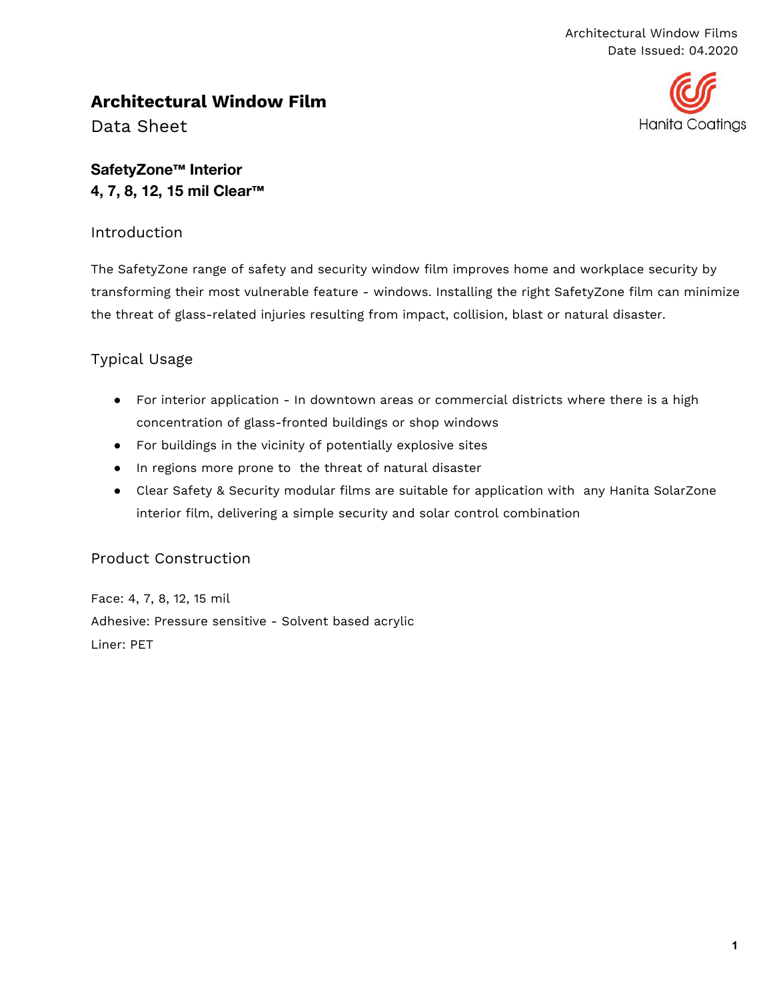## **Hanita Coatings**

## **Architectural Window Film**

Data Sheet

## **SafetyZone™ Interior 4, 7, 8, 12, 15 mil Clear™**

#### Introduction

The SafetyZone range of safety and security window film improves home and workplace security by transforming their most vulnerable feature - windows. Installing the right SafetyZone film can minimize the threat of glass-related injuries resulting from impact, collision, blast or natural disaster.

## Typical Usage

- For interior application In downtown areas or commercial districts where there is a high concentration of glass-fronted buildings or shop windows
- For buildings in the vicinity of potentially explosive sites
- In regions more prone to the threat of natural disaster
- Clear Safety & Security modular films are suitable for application with any Hanita SolarZone interior film, delivering a simple security and solar control combination

#### Product Construction

Face: 4, 7, 8, 12, 15 mil Adhesive: Pressure sensitive - Solvent based acrylic Liner: PET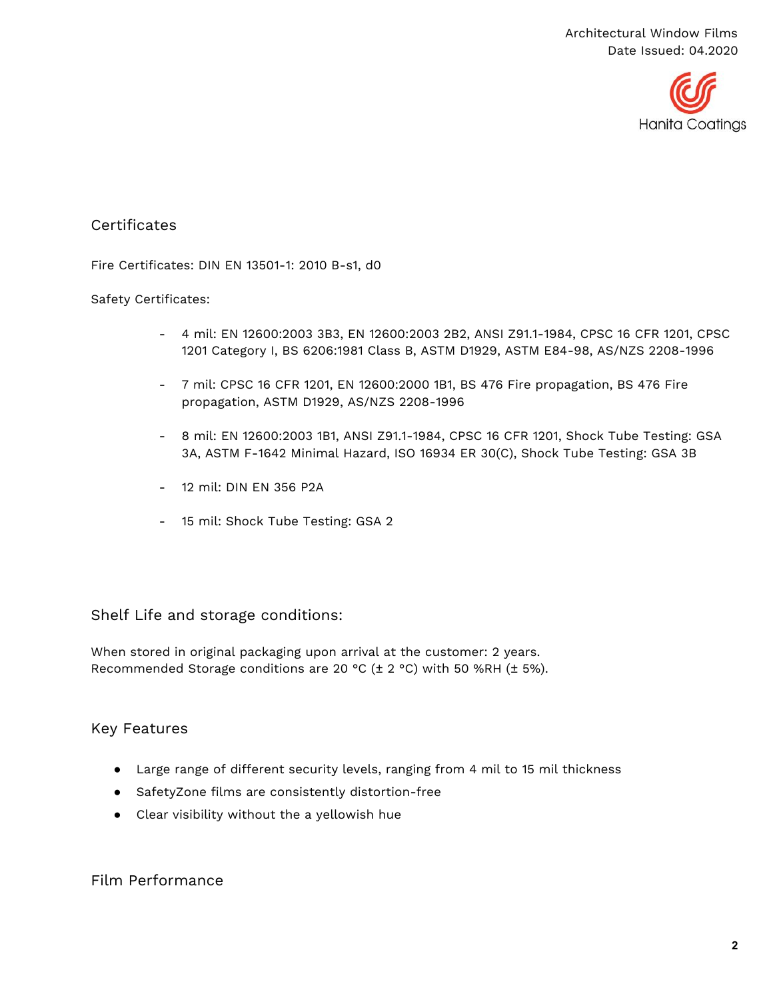

#### **Certificates**

Fire Certificates: DIN EN 13501-1: 2010 B-s1, d0

#### Safety Certificates:

- 4 mil: EN 12600:2003 3B3, EN 12600:2003 2B2, ANSI Z91.1-1984, CPSC 16 CFR 1201, CPSC 1201 Category I, BS 6206:1981 Class B, ASTM D1929, ASTM E84-98, AS/NZS 2208-1996
- 7 mil: CPSC 16 CFR 1201, EN 12600:2000 1B1, BS 476 Fire propagation, BS 476 Fire propagation, ASTM D1929, AS/NZS 2208-1996
- 8 mil: EN 12600:2003 1B1, ANSI Z91.1-1984, CPSC 16 CFR 1201, Shock Tube Testing: GSA 3A, ASTM F-1642 Minimal Hazard, ISO 16934 ER 30(C), Shock Tube Testing: GSA 3B
- 12 mil: DIN EN 356 P2A
- 15 mil: Shock Tube Testing: GSA 2

#### Shelf Life and storage conditions:

When stored in original packaging upon arrival at the customer: 2 years. Recommended Storage conditions are 20 °C (± 2 °C) with 50 %RH (± 5%).

#### Key Features

- Large range of different security levels, ranging from 4 mil to 15 mil thickness
- SafetyZone films are consistently distortion-free
- Clear visibility without the a yellowish hue

#### Film Performance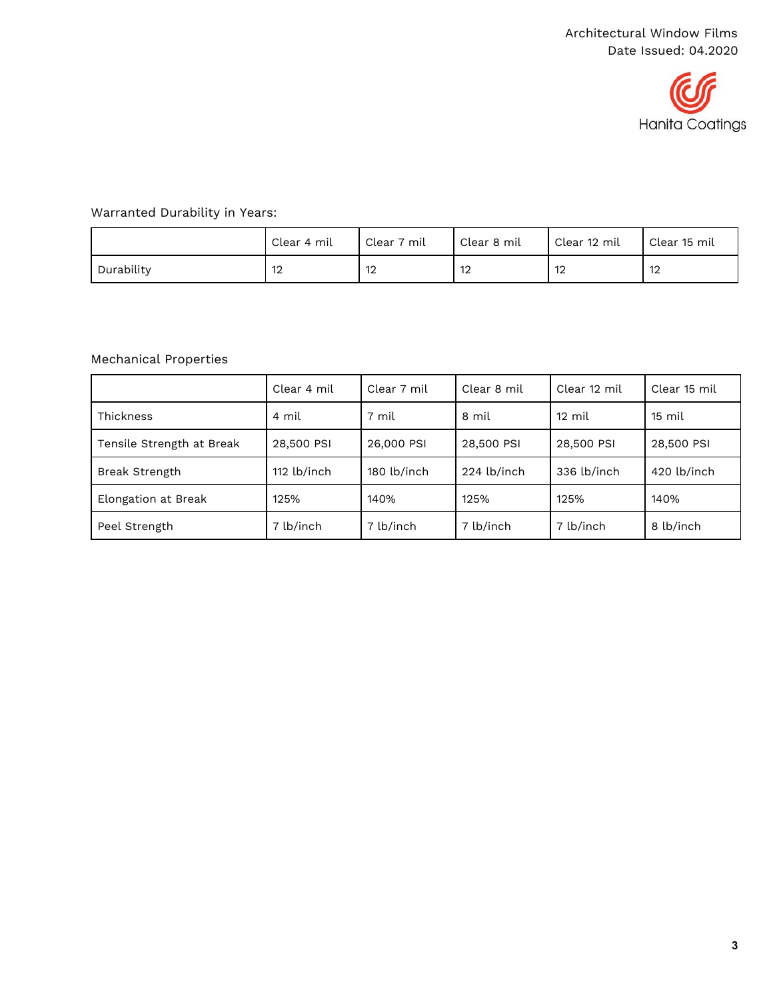

#### Warranted Durability in Years:

|            | Clear 4 mil          | Clear 7 mil | Clear 8 mil | Clear 12 mil | Clear 15 mil |
|------------|----------------------|-------------|-------------|--------------|--------------|
| Durability | $\overline{1}$<br>ı∠ | 12          | 12          | 12           | ı∠           |

#### Mechanical Properties

|                           | Clear 4 mil | Clear 7 mil | Clear 8 mil | Clear 12 mil     | Clear 15 mil     |
|---------------------------|-------------|-------------|-------------|------------------|------------------|
| <b>Thickness</b>          | 4 mil       | 7 mil       | 8 mil       | $12 \text{ mil}$ | $15 \text{ mil}$ |
| Tensile Strength at Break | 28,500 PSI  | 26,000 PSI  | 28,500 PSI  | 28,500 PSI       | 28,500 PSI       |
| Break Strength            | 112 lb/inch | 180 lb/inch | 224 lb/inch | 336 lb/inch      | 420 lb/inch      |
| Elongation at Break       | 125%        | 140%        | 125%        | 125%             | 140%             |
| Peel Strength             | 7 lb/inch   | 7 lb/inch   | 7 lb/inch   | 7 lb/inch        | 8 lb/inch        |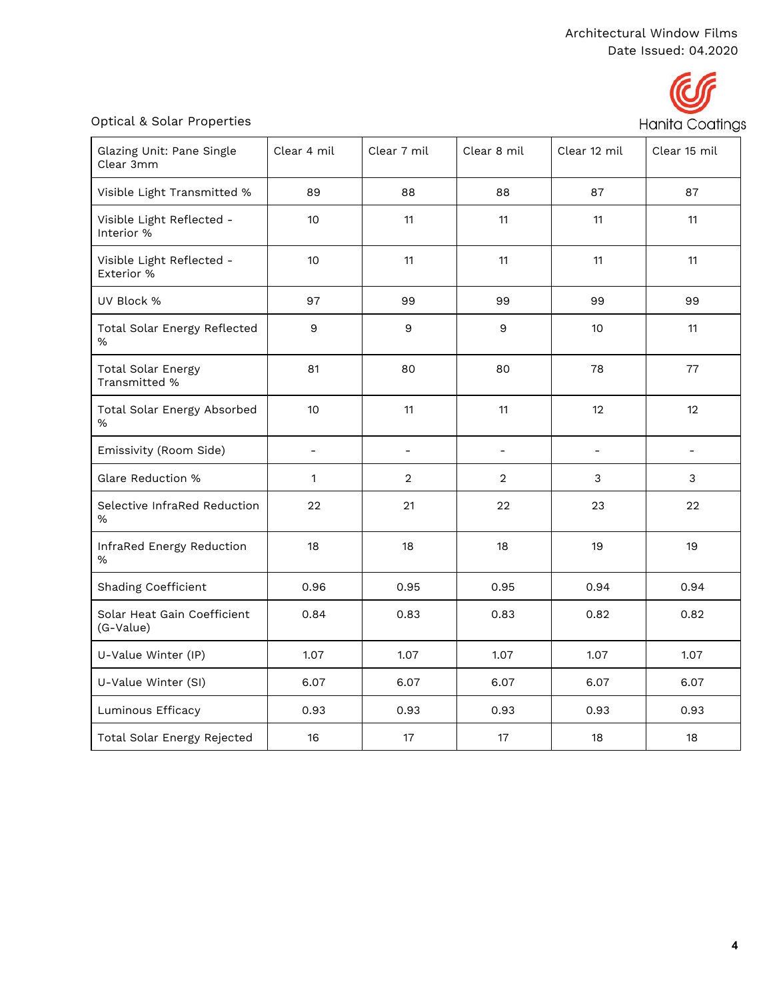# Hanita Coatings

#### Optical & Solar Properties

| Glazing Unit: Pane Single<br>Clear 3mm     | Clear 4 mil   | Clear 7 mil              | Clear 8 mil              | Clear 12 mil             | Clear 15 mil   |
|--------------------------------------------|---------------|--------------------------|--------------------------|--------------------------|----------------|
| Visible Light Transmitted %                | 89            | 88                       | 88                       | 87                       | 87             |
| Visible Light Reflected -<br>Interior %    | 10            | 11                       | 11                       | 11                       | 11             |
| Visible Light Reflected -<br>Exterior %    | 10            | 11                       | 11                       | 11                       | 11             |
| UV Block %                                 | 97            | 99                       | 99                       | 99                       | 99             |
| Total Solar Energy Reflected<br>%          | 9             | $\boldsymbol{9}$         | $\boldsymbol{9}$         | 10                       | 11             |
| <b>Total Solar Energy</b><br>Transmitted % | 81            | 80                       | 80                       | 78                       | 77             |
| Total Solar Energy Absorbed<br>%           | 10            | 11                       | 11                       | 12                       | 12             |
| Emissivity (Room Side)                     | $\frac{1}{2}$ | $\overline{\phantom{m}}$ | $\overline{\phantom{a}}$ | $\overline{\phantom{0}}$ | $\blacksquare$ |
| Glare Reduction %                          | 1             | $\overline{2}$           | $\overline{2}$           | 3                        | 3              |
| Selective InfraRed Reduction<br>%          | 22            | 21                       | 22                       | 23                       | 22             |
| InfraRed Energy Reduction<br>%             | 18            | 18                       | 18                       | 19                       | 19             |
| Shading Coefficient                        | 0.96          | 0.95                     | 0.95                     | 0.94                     | 0.94           |
| Solar Heat Gain Coefficient<br>(G-Value)   | 0.84          | 0.83                     | 0.83                     | 0.82                     | 0.82           |
| U-Value Winter (IP)                        | 1.07          | 1.07                     | 1.07                     | 1.07                     | 1.07           |
| U-Value Winter (SI)                        | 6.07          | 6.07                     | 6.07                     | 6.07                     | 6.07           |
| Luminous Efficacy                          | 0.93          | 0.93                     | 0.93                     | 0.93                     | 0.93           |
| Total Solar Energy Rejected                | 16            | 17                       | 17                       | 18                       | 18             |